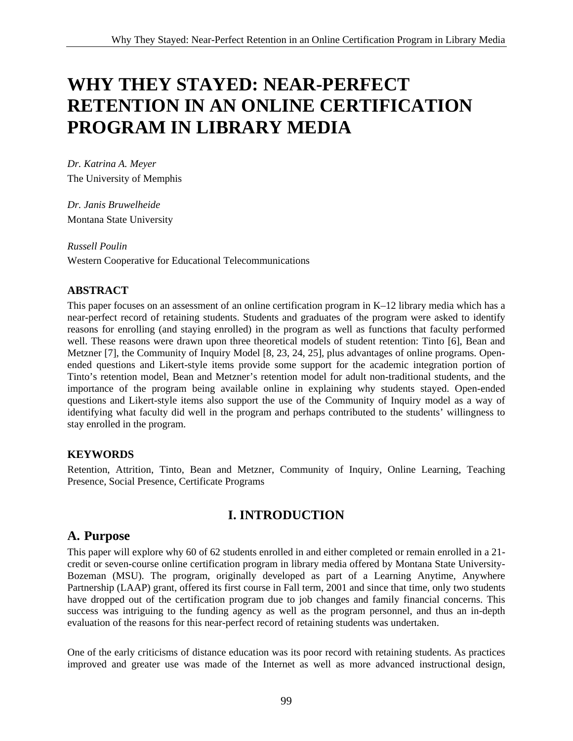# **WHY THEY STAYED: NEAR-PERFECT RETENTION IN AN ONLINE CERTIFICATION PROGRAM IN LIBRARY MEDIA**

*Dr. Katrina A. Meyer*  The University of Memphis

*Dr. Janis Bruwelheide*  Montana State University

*Russell Poulin*  Western Cooperative for Educational Telecommunications

## **ABSTRACT**

This paper focuses on an assessment of an online certification program in K–12 library media which has a near-perfect record of retaining students. Students and graduates of the program were asked to identify reasons for enrolling (and staying enrolled) in the program as well as functions that faculty performed well. These reasons were drawn upon three theoretical models of student retention: Tinto [6], Bean and Metzner [7], the Community of Inquiry Model [8, 23, 24, 25], plus advantages of online programs. Openended questions and Likert-style items provide some support for the academic integration portion of Tinto's retention model, Bean and Metzner's retention model for adult non-traditional students, and the importance of the program being available online in explaining why students stayed. Open-ended questions and Likert-style items also support the use of the Community of Inquiry model as a way of identifying what faculty did well in the program and perhaps contributed to the students' willingness to stay enrolled in the program.

#### **KEYWORDS**

Retention, Attrition, Tinto, Bean and Metzner, Community of Inquiry, Online Learning, Teaching Presence, Social Presence, Certificate Programs

# **I. INTRODUCTION**

# **A. Purpose**

This paper will explore why 60 of 62 students enrolled in and either completed or remain enrolled in a 21 credit or seven-course online certification program in library media offered by Montana State University-Bozeman (MSU). The program, originally developed as part of a Learning Anytime, Anywhere Partnership (LAAP) grant, offered its first course in Fall term, 2001 and since that time, only two students have dropped out of the certification program due to job changes and family financial concerns. This success was intriguing to the funding agency as well as the program personnel, and thus an in-depth evaluation of the reasons for this near-perfect record of retaining students was undertaken.

One of the early criticisms of distance education was its poor record with retaining students. As practices improved and greater use was made of the Internet as well as more advanced instructional design,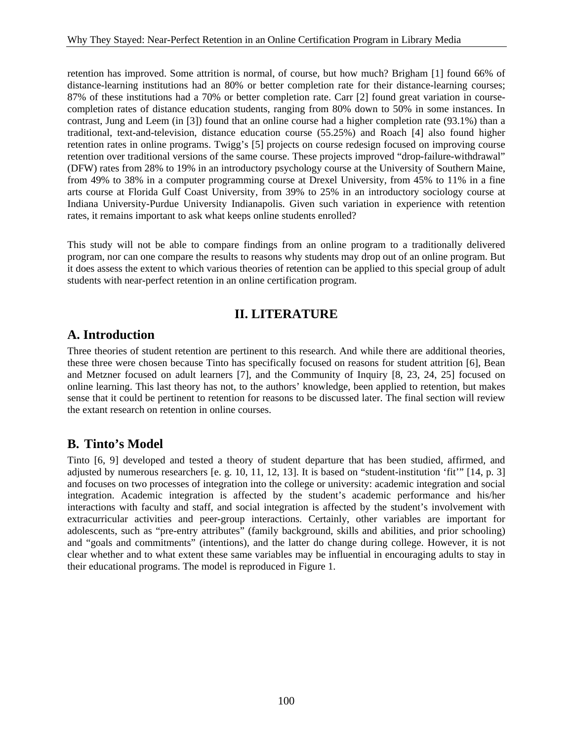retention has improved. Some attrition is normal, of course, but how much? Brigham [1] found 66% of distance-learning institutions had an 80% or better completion rate for their distance-learning courses; 87% of these institutions had a 70% or better completion rate. Carr [2] found great variation in coursecompletion rates of distance education students, ranging from 80% down to 50% in some instances. In contrast, Jung and Leem (in [3]) found that an online course had a higher completion rate (93.1%) than a traditional, text-and-television, distance education course (55.25%) and Roach [4] also found higher retention rates in online programs. Twigg's [5] projects on course redesign focused on improving course retention over traditional versions of the same course. These projects improved "drop-failure-withdrawal" (DFW) rates from 28% to 19% in an introductory psychology course at the University of Southern Maine, from 49% to 38% in a computer programming course at Drexel University, from 45% to 11% in a fine arts course at Florida Gulf Coast University, from 39% to 25% in an introductory sociology course at Indiana University-Purdue University Indianapolis. Given such variation in experience with retention rates, it remains important to ask what keeps online students enrolled?

This study will not be able to compare findings from an online program to a traditionally delivered program, nor can one compare the results to reasons why students may drop out of an online program. But it does assess the extent to which various theories of retention can be applied to this special group of adult students with near-perfect retention in an online certification program.

## **II. LITERATURE**

### **A. Introduction**

Three theories of student retention are pertinent to this research. And while there are additional theories, these three were chosen because Tinto has specifically focused on reasons for student attrition [6], Bean and Metzner focused on adult learners [7], and the Community of Inquiry [8, 23, 24, 25] focused on online learning. This last theory has not, to the authors' knowledge, been applied to retention, but makes sense that it could be pertinent to retention for reasons to be discussed later. The final section will review the extant research on retention in online courses.

## **B. Tinto's Model**

Tinto [6, 9] developed and tested a theory of student departure that has been studied, affirmed, and adjusted by numerous researchers [e. g. 10, 11, 12, 13]. It is based on "student-institution 'fit'" [14, p. 3] and focuses on two processes of integration into the college or university: academic integration and social integration. Academic integration is affected by the student's academic performance and his/her interactions with faculty and staff, and social integration is affected by the student's involvement with extracurricular activities and peer-group interactions. Certainly, other variables are important for adolescents, such as "pre-entry attributes" (family background, skills and abilities, and prior schooling) and "goals and commitments" (intentions), and the latter do change during college. However, it is not clear whether and to what extent these same variables may be influential in encouraging adults to stay in their educational programs. The model is reproduced in Figure 1.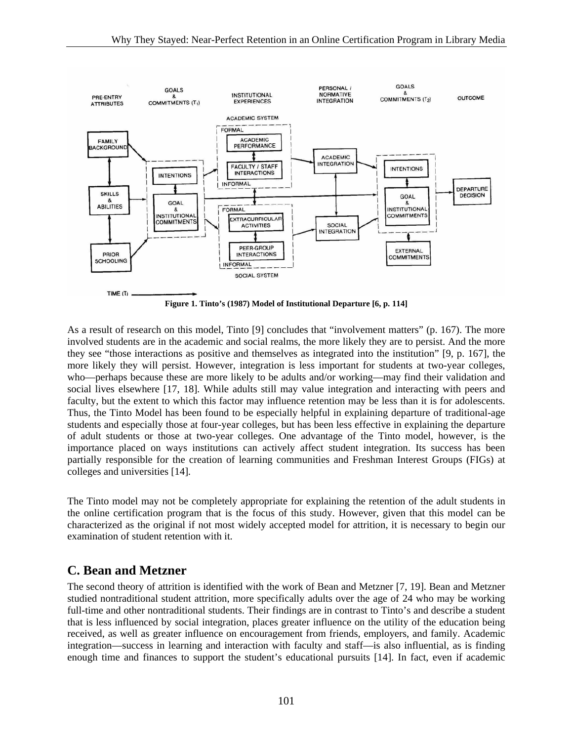

**Figure 1. Tinto's (1987) Model of Institutional Departure [6, p. 114]** 

As a result of research on this model, Tinto [9] concludes that "involvement matters" (p. 167). The more involved students are in the academic and social realms, the more likely they are to persist. And the more they see "those interactions as positive and themselves as integrated into the institution" [9, p. 167], the more likely they will persist. However, integration is less important for students at two-year colleges, who—perhaps because these are more likely to be adults and/or working—may find their validation and social lives elsewhere [17, 18]. While adults still may value integration and interacting with peers and faculty, but the extent to which this factor may influence retention may be less than it is for adolescents. Thus, the Tinto Model has been found to be especially helpful in explaining departure of traditional-age students and especially those at four-year colleges, but has been less effective in explaining the departure of adult students or those at two-year colleges. One advantage of the Tinto model, however, is the importance placed on ways institutions can actively affect student integration. Its success has been partially responsible for the creation of learning communities and Freshman Interest Groups (FIGs) at colleges and universities [14].

The Tinto model may not be completely appropriate for explaining the retention of the adult students in the online certification program that is the focus of this study. However, given that this model can be characterized as the original if not most widely accepted model for attrition, it is necessary to begin our examination of student retention with it.

# **C. Bean and Metzner**

The second theory of attrition is identified with the work of Bean and Metzner [7, 19]. Bean and Metzner studied nontraditional student attrition, more specifically adults over the age of 24 who may be working full-time and other nontraditional students. Their findings are in contrast to Tinto's and describe a student that is less influenced by social integration, places greater influence on the utility of the education being received, as well as greater influence on encouragement from friends, employers, and family. Academic integration—success in learning and interaction with faculty and staff—is also influential, as is finding enough time and finances to support the student's educational pursuits [14]. In fact, even if academic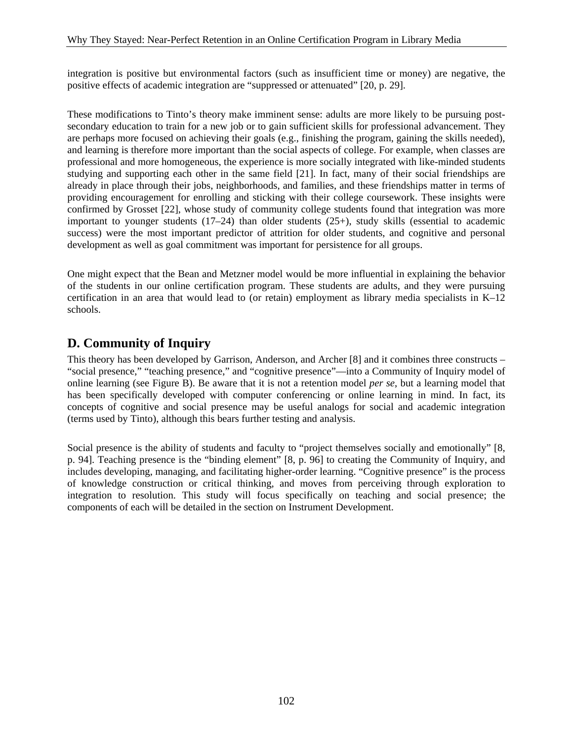integration is positive but environmental factors (such as insufficient time or money) are negative, the positive effects of academic integration are "suppressed or attenuated" [20, p. 29].

These modifications to Tinto's theory make imminent sense: adults are more likely to be pursuing postsecondary education to train for a new job or to gain sufficient skills for professional advancement. They are perhaps more focused on achieving their goals (e.g., finishing the program, gaining the skills needed), and learning is therefore more important than the social aspects of college. For example, when classes are professional and more homogeneous, the experience is more socially integrated with like-minded students studying and supporting each other in the same field [21]. In fact, many of their social friendships are already in place through their jobs, neighborhoods, and families, and these friendships matter in terms of providing encouragement for enrolling and sticking with their college coursework. These insights were confirmed by Grosset [22], whose study of community college students found that integration was more important to younger students  $(17–24)$  than older students  $(25+)$ , study skills (essential to academic success) were the most important predictor of attrition for older students, and cognitive and personal development as well as goal commitment was important for persistence for all groups.

One might expect that the Bean and Metzner model would be more influential in explaining the behavior of the students in our online certification program. These students are adults, and they were pursuing certification in an area that would lead to (or retain) employment as library media specialists in K–12 schools.

## **D. Community of Inquiry**

This theory has been developed by Garrison, Anderson, and Archer [8] and it combines three constructs – "social presence," "teaching presence," and "cognitive presence"—into a Community of Inquiry model of online learning (see Figure B). Be aware that it is not a retention model *per se*, but a learning model that has been specifically developed with computer conferencing or online learning in mind. In fact, its concepts of cognitive and social presence may be useful analogs for social and academic integration (terms used by Tinto), although this bears further testing and analysis.

Social presence is the ability of students and faculty to "project themselves socially and emotionally" [8, p. 94]. Teaching presence is the "binding element" [8, p. 96] to creating the Community of Inquiry, and includes developing, managing, and facilitating higher-order learning. "Cognitive presence" is the process of knowledge construction or critical thinking, and moves from perceiving through exploration to integration to resolution. This study will focus specifically on teaching and social presence; the components of each will be detailed in the section on Instrument Development.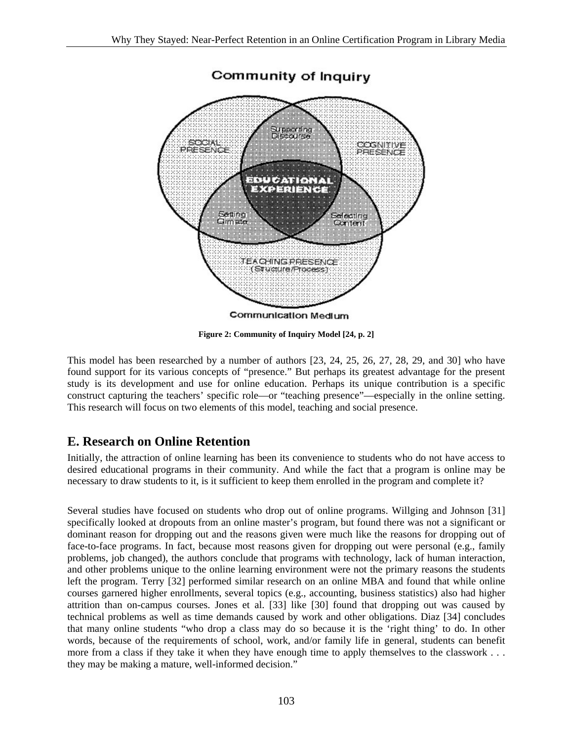

**Figure 2: Community of Inquiry Model [24, p. 2]** 

This model has been researched by a number of authors [23, 24, 25, 26, 27, 28, 29, and 30] who have found support for its various concepts of "presence." But perhaps its greatest advantage for the present study is its development and use for online education. Perhaps its unique contribution is a specific construct capturing the teachers' specific role—or "teaching presence"—especially in the online setting. This research will focus on two elements of this model, teaching and social presence.

## **E. Research on Online Retention**

Initially, the attraction of online learning has been its convenience to students who do not have access to desired educational programs in their community. And while the fact that a program is online may be necessary to draw students to it, is it sufficient to keep them enrolled in the program and complete it?

Several studies have focused on students who drop out of online programs. Willging and Johnson [31] specifically looked at dropouts from an online master's program, but found there was not a significant or dominant reason for dropping out and the reasons given were much like the reasons for dropping out of face-to-face programs. In fact, because most reasons given for dropping out were personal (e.g., family problems, job changed), the authors conclude that programs with technology, lack of human interaction, and other problems unique to the online learning environment were not the primary reasons the students left the program. Terry [32] performed similar research on an online MBA and found that while online courses garnered higher enrollments, several topics (e.g., accounting, business statistics) also had higher attrition than on-campus courses. Jones et al. [33] like [30] found that dropping out was caused by technical problems as well as time demands caused by work and other obligations. Diaz [34] concludes that many online students "who drop a class may do so because it is the 'right thing' to do. In other words, because of the requirements of school, work, and/or family life in general, students can benefit more from a class if they take it when they have enough time to apply themselves to the classwork . . . they may be making a mature, well-informed decision."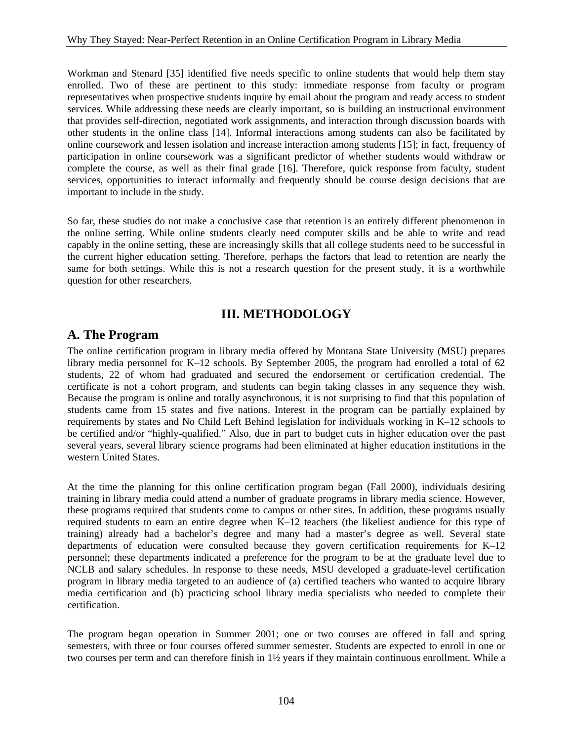Workman and Stenard [35] identified five needs specific to online students that would help them stay enrolled. Two of these are pertinent to this study: immediate response from faculty or program representatives when prospective students inquire by email about the program and ready access to student services. While addressing these needs are clearly important, so is building an instructional environment that provides self-direction, negotiated work assignments, and interaction through discussion boards with other students in the online class [14]. Informal interactions among students can also be facilitated by online coursework and lessen isolation and increase interaction among students [15]; in fact, frequency of participation in online coursework was a significant predictor of whether students would withdraw or complete the course, as well as their final grade [16]. Therefore, quick response from faculty, student services, opportunities to interact informally and frequently should be course design decisions that are important to include in the study.

So far, these studies do not make a conclusive case that retention is an entirely different phenomenon in the online setting. While online students clearly need computer skills and be able to write and read capably in the online setting, these are increasingly skills that all college students need to be successful in the current higher education setting. Therefore, perhaps the factors that lead to retention are nearly the same for both settings. While this is not a research question for the present study, it is a worthwhile question for other researchers.

### **III. METHODOLOGY**

### **A. The Program**

The online certification program in library media offered by Montana State University (MSU) prepares library media personnel for K–12 schools. By September 2005, the program had enrolled a total of 62 students, 22 of whom had graduated and secured the endorsement or certification credential. The certificate is not a cohort program, and students can begin taking classes in any sequence they wish. Because the program is online and totally asynchronous, it is not surprising to find that this population of students came from 15 states and five nations. Interest in the program can be partially explained by requirements by states and No Child Left Behind legislation for individuals working in K–12 schools to be certified and/or "highly-qualified." Also, due in part to budget cuts in higher education over the past several years, several library science programs had been eliminated at higher education institutions in the western United States.

At the time the planning for this online certification program began (Fall 2000), individuals desiring training in library media could attend a number of graduate programs in library media science. However, these programs required that students come to campus or other sites. In addition, these programs usually required students to earn an entire degree when K–12 teachers (the likeliest audience for this type of training) already had a bachelor's degree and many had a master's degree as well. Several state departments of education were consulted because they govern certification requirements for K–12 personnel; these departments indicated a preference for the program to be at the graduate level due to NCLB and salary schedules. In response to these needs, MSU developed a graduate-level certification program in library media targeted to an audience of (a) certified teachers who wanted to acquire library media certification and (b) practicing school library media specialists who needed to complete their certification.

The program began operation in Summer 2001; one or two courses are offered in fall and spring semesters, with three or four courses offered summer semester. Students are expected to enroll in one or two courses per term and can therefore finish in 1½ years if they maintain continuous enrollment. While a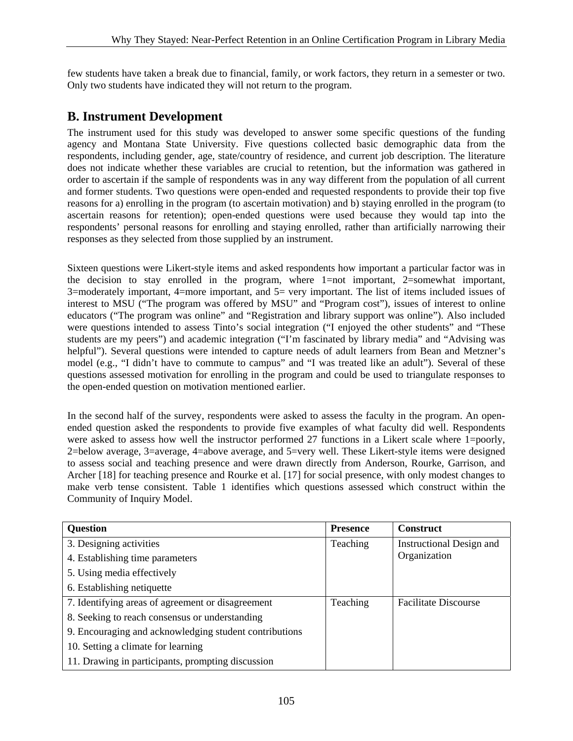few students have taken a break due to financial, family, or work factors, they return in a semester or two. Only two students have indicated they will not return to the program.

## **B. Instrument Development**

The instrument used for this study was developed to answer some specific questions of the funding agency and Montana State University. Five questions collected basic demographic data from the respondents, including gender, age, state/country of residence, and current job description. The literature does not indicate whether these variables are crucial to retention, but the information was gathered in order to ascertain if the sample of respondents was in any way different from the population of all current and former students. Two questions were open-ended and requested respondents to provide their top five reasons for a) enrolling in the program (to ascertain motivation) and b) staying enrolled in the program (to ascertain reasons for retention); open-ended questions were used because they would tap into the respondents' personal reasons for enrolling and staying enrolled, rather than artificially narrowing their responses as they selected from those supplied by an instrument.

Sixteen questions were Likert-style items and asked respondents how important a particular factor was in the decision to stay enrolled in the program, where 1=not important, 2=somewhat important, 3=moderately important, 4=more important, and 5= very important. The list of items included issues of interest to MSU ("The program was offered by MSU" and "Program cost"), issues of interest to online educators ("The program was online" and "Registration and library support was online"). Also included were questions intended to assess Tinto's social integration ("I enjoyed the other students" and "These students are my peers") and academic integration ("I'm fascinated by library media" and "Advising was helpful"). Several questions were intended to capture needs of adult learners from Bean and Metzner's model (e.g., "I didn't have to commute to campus" and "I was treated like an adult"). Several of these questions assessed motivation for enrolling in the program and could be used to triangulate responses to the open-ended question on motivation mentioned earlier.

In the second half of the survey, respondents were asked to assess the faculty in the program. An openended question asked the respondents to provide five examples of what faculty did well. Respondents were asked to assess how well the instructor performed 27 functions in a Likert scale where 1=poorly, 2=below average, 3=average, 4=above average, and 5=very well. These Likert-style items were designed to assess social and teaching presence and were drawn directly from Anderson, Rourke, Garrison, and Archer [18] for teaching presence and Rourke et al. [17] for social presence, with only modest changes to make verb tense consistent. Table 1 identifies which questions assessed which construct within the Community of Inquiry Model.

| <b>Question</b>                                        | <b>Presence</b> | <b>Construct</b>            |
|--------------------------------------------------------|-----------------|-----------------------------|
| 3. Designing activities                                | Teaching        | Instructional Design and    |
| 4. Establishing time parameters                        |                 | Organization                |
| 5. Using media effectively                             |                 |                             |
| 6. Establishing netiquette                             |                 |                             |
| 7. Identifying areas of agreement or disagreement      | Teaching        | <b>Facilitate Discourse</b> |
| 8. Seeking to reach consensus or understanding         |                 |                             |
| 9. Encouraging and acknowledging student contributions |                 |                             |
| 10. Setting a climate for learning                     |                 |                             |
| 11. Drawing in participants, prompting discussion      |                 |                             |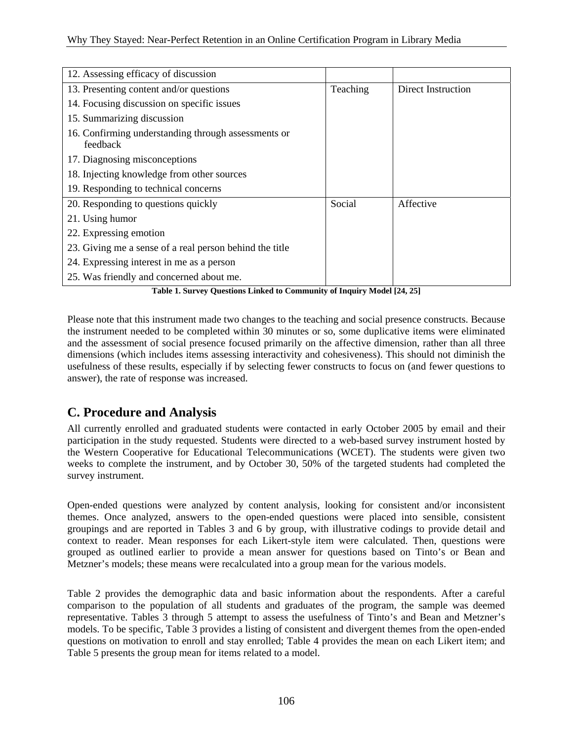| 12. Assessing efficacy of discussion                            |          |                    |
|-----------------------------------------------------------------|----------|--------------------|
| 13. Presenting content and/or questions                         | Teaching | Direct Instruction |
| 14. Focusing discussion on specific issues                      |          |                    |
| 15. Summarizing discussion                                      |          |                    |
| 16. Confirming understanding through assessments or<br>feedback |          |                    |
| 17. Diagnosing misconceptions                                   |          |                    |
| 18. Injecting knowledge from other sources                      |          |                    |
| 19. Responding to technical concerns                            |          |                    |
| 20. Responding to questions quickly                             | Social   | Affective          |
| 21. Using humor                                                 |          |                    |
| 22. Expressing emotion                                          |          |                    |
| 23. Giving me a sense of a real person behind the title         |          |                    |
| 24. Expressing interest in me as a person                       |          |                    |
| 25. Was friendly and concerned about me.                        |          |                    |

**Table 1. Survey Questions Linked to Community of Inquiry Model [24, 25]** 

Please note that this instrument made two changes to the teaching and social presence constructs. Because the instrument needed to be completed within 30 minutes or so, some duplicative items were eliminated and the assessment of social presence focused primarily on the affective dimension, rather than all three dimensions (which includes items assessing interactivity and cohesiveness). This should not diminish the usefulness of these results, especially if by selecting fewer constructs to focus on (and fewer questions to answer), the rate of response was increased.

# **C. Procedure and Analysis**

All currently enrolled and graduated students were contacted in early October 2005 by email and their participation in the study requested. Students were directed to a web-based survey instrument hosted by the Western Cooperative for Educational Telecommunications (WCET). The students were given two weeks to complete the instrument, and by October 30, 50% of the targeted students had completed the survey instrument.

Open-ended questions were analyzed by content analysis, looking for consistent and/or inconsistent themes. Once analyzed, answers to the open-ended questions were placed into sensible, consistent groupings and are reported in Tables 3 and 6 by group, with illustrative codings to provide detail and context to reader. Mean responses for each Likert-style item were calculated. Then, questions were grouped as outlined earlier to provide a mean answer for questions based on Tinto's or Bean and Metzner's models; these means were recalculated into a group mean for the various models.

Table 2 provides the demographic data and basic information about the respondents. After a careful comparison to the population of all students and graduates of the program, the sample was deemed representative. Tables 3 through 5 attempt to assess the usefulness of Tinto's and Bean and Metzner's models. To be specific, Table 3 provides a listing of consistent and divergent themes from the open-ended questions on motivation to enroll and stay enrolled; Table 4 provides the mean on each Likert item; and Table 5 presents the group mean for items related to a model.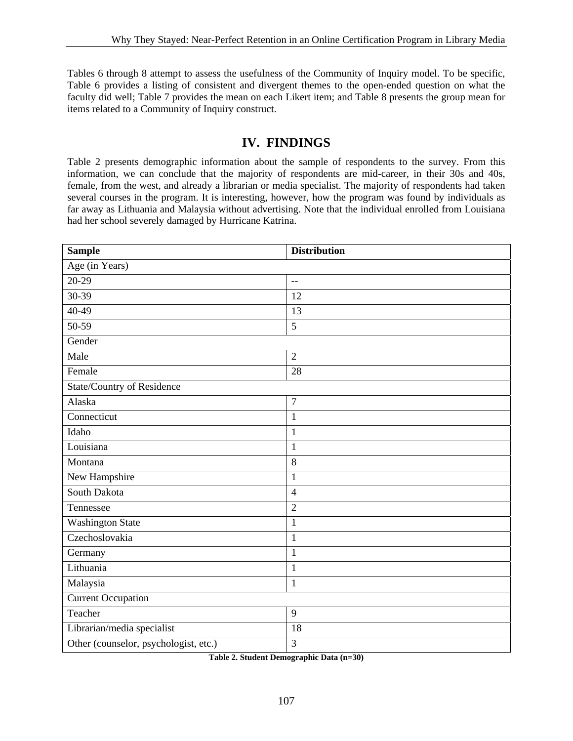Tables 6 through 8 attempt to assess the usefulness of the Community of Inquiry model. To be specific, Table 6 provides a listing of consistent and divergent themes to the open-ended question on what the faculty did well; Table 7 provides the mean on each Likert item; and Table 8 presents the group mean for items related to a Community of Inquiry construct.

# **IV. FINDINGS**

Table 2 presents demographic information about the sample of respondents to the survey. From this information, we can conclude that the majority of respondents are mid-career, in their 30s and 40s, female, from the west, and already a librarian or media specialist. The majority of respondents had taken several courses in the program. It is interesting, however, how the program was found by individuals as far away as Lithuania and Malaysia without advertising. Note that the individual enrolled from Louisiana had her school severely damaged by Hurricane Katrina.

| <b>Sample</b>                         | <b>Distribution</b> |
|---------------------------------------|---------------------|
| Age (in Years)                        |                     |
| $20-29$                               | $-$                 |
| $30-39$                               | 12                  |
| $40-49$                               | 13                  |
| $50-59$                               | $\overline{5}$      |
| Gender                                |                     |
| Male                                  | $\overline{2}$      |
| Female                                | 28                  |
| State/Country of Residence            |                     |
| Alaska                                | $\overline{7}$      |
| Connecticut                           | $\mathbf{1}$        |
| Idaho                                 | $\mathbf{1}$        |
| Louisiana                             | $\mathbf{1}$        |
| Montana                               | 8                   |
| New Hampshire                         | $\mathbf{1}$        |
| South Dakota                          | $\overline{4}$      |
| Tennessee                             | $\overline{2}$      |
| <b>Washington State</b>               | $\mathbf{1}$        |
| Czechoslovakia                        | $\mathbf{1}$        |
| Germany                               | $\mathbf{1}$        |
| Lithuania                             | $\mathbf{1}$        |
| Malaysia                              | $\mathbf{1}$        |
| <b>Current Occupation</b>             |                     |
| Teacher                               | 9                   |
| Librarian/media specialist            | 18                  |
| Other (counselor, psychologist, etc.) | 3                   |

**Table 2. Student Demographic Data (n=30)**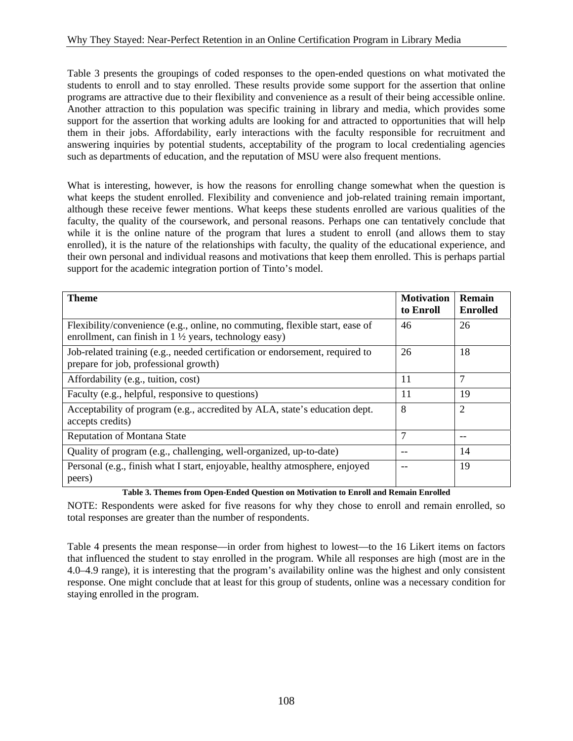Table 3 presents the groupings of coded responses to the open-ended questions on what motivated the students to enroll and to stay enrolled. These results provide some support for the assertion that online programs are attractive due to their flexibility and convenience as a result of their being accessible online. Another attraction to this population was specific training in library and media, which provides some support for the assertion that working adults are looking for and attracted to opportunities that will help them in their jobs. Affordability, early interactions with the faculty responsible for recruitment and answering inquiries by potential students, acceptability of the program to local credentialing agencies such as departments of education, and the reputation of MSU were also frequent mentions.

What is interesting, however, is how the reasons for enrolling change somewhat when the question is what keeps the student enrolled. Flexibility and convenience and job-related training remain important, although these receive fewer mentions. What keeps these students enrolled are various qualities of the faculty, the quality of the coursework, and personal reasons. Perhaps one can tentatively conclude that while it is the online nature of the program that lures a student to enroll (and allows them to stay enrolled), it is the nature of the relationships with faculty, the quality of the educational experience, and their own personal and individual reasons and motivations that keep them enrolled. This is perhaps partial support for the academic integration portion of Tinto's model.

| <b>Theme</b>                                                                                                                                                        | <b>Motivation</b><br>to Enroll | Remain<br><b>Enrolled</b> |
|---------------------------------------------------------------------------------------------------------------------------------------------------------------------|--------------------------------|---------------------------|
| Flexibility/convenience (e.g., online, no commuting, flexible start, ease of<br>enrollment, can finish in $1\frac{1}{2}$ years, technology easy)                    | 46                             | 26                        |
| Job-related training (e.g., needed certification or endorsement, required to<br>prepare for job, professional growth)                                               | 26                             | 18                        |
| Affordability (e.g., tuition, cost)                                                                                                                                 | 11                             | 7                         |
| Faculty (e.g., helpful, responsive to questions)                                                                                                                    | 11                             | 19                        |
| Acceptability of program (e.g., accredited by ALA, state's education dept.<br>accepts credits)                                                                      | 8                              | $\overline{2}$            |
| <b>Reputation of Montana State</b>                                                                                                                                  | $\overline{7}$                 |                           |
| Quality of program (e.g., challenging, well-organized, up-to-date)                                                                                                  |                                | 14                        |
| Personal (e.g., finish what I start, enjoyable, healthy atmosphere, enjoyed<br>peers)<br>$\mathbf{r}$ . The state of $\mathbf{r}$ is the state of $\mathbf{r}$<br>. | $\cdot$ $\cdot$                | 19                        |

**Table 3. Themes from Open-Ended Question on Motivation to Enroll and Remain Enrolled** 

NOTE: Respondents were asked for five reasons for why they chose to enroll and remain enrolled, so total responses are greater than the number of respondents.

Table 4 presents the mean response—in order from highest to lowest—to the 16 Likert items on factors that influenced the student to stay enrolled in the program. While all responses are high (most are in the 4.0–4.9 range), it is interesting that the program's availability online was the highest and only consistent response. One might conclude that at least for this group of students, online was a necessary condition for staying enrolled in the program.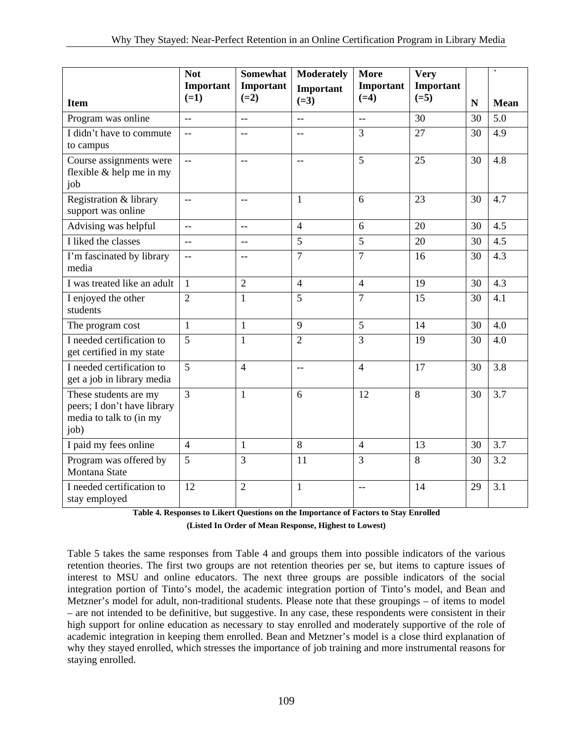|                                                                                         | <b>Not</b>                | <b>Somewhat</b>          | <b>Moderately</b>        | <b>More</b>         | <b>Very</b>         |    | $\hat{\phantom{a}}$ |
|-----------------------------------------------------------------------------------------|---------------------------|--------------------------|--------------------------|---------------------|---------------------|----|---------------------|
|                                                                                         | Important<br>$(=1)$       | Important<br>$(=2)$      | Important<br>$(=3)$      | Important<br>$(=4)$ | Important<br>$(=5)$ |    |                     |
| <b>Item</b>                                                                             |                           |                          |                          |                     |                     | N  | <b>Mean</b>         |
| Program was online                                                                      | $\overline{a}$            | $\sim$                   | $\overline{a}$           | $\overline{a}$      | 30                  | 30 | 5.0                 |
| I didn't have to commute<br>to campus                                                   | $-$                       | $\overline{\phantom{a}}$ | $-$                      | $\overline{3}$      | 27                  | 30 | 4.9                 |
| Course assignments were<br>flexible & help me in my<br>job                              | $\mathbb{L}^{\mathbb{L}}$ | $\overline{\phantom{m}}$ | $\overline{\phantom{m}}$ | 5                   | 25                  | 30 | 4.8                 |
| Registration & library<br>support was online                                            | $\overline{a}$            | $\overline{\phantom{a}}$ | $\mathbf{1}$             | 6                   | 23                  | 30 | 4.7                 |
| Advising was helpful                                                                    | $\overline{a}$            | $-$                      | $\overline{4}$           | 6                   | 20                  | 30 | 4.5                 |
| I liked the classes                                                                     | $\overline{a}$            | $-$                      | $\overline{5}$           | $\overline{5}$      | 20                  | 30 | 4.5                 |
| I'm fascinated by library<br>media                                                      | $\overline{\phantom{m}}$  | $-$                      | $\overline{7}$           | $\overline{7}$      | 16                  | 30 | 4.3                 |
| I was treated like an adult                                                             | $\mathbf{1}$              | $\overline{2}$           | $\overline{4}$           | $\overline{4}$      | 19                  | 30 | 4.3                 |
| I enjoyed the other<br>students                                                         | $\overline{2}$            | $\mathbf{1}$             | 5                        | $\overline{7}$      | 15                  | 30 | 4.1                 |
| The program cost                                                                        | $\mathbf{1}$              | $\mathbf{1}$             | 9                        | 5                   | 14                  | 30 | 4.0                 |
| I needed certification to<br>get certified in my state                                  | 5                         | $\mathbf{1}$             | $\overline{2}$           | $\overline{3}$      | 19                  | 30 | 4.0                 |
| I needed certification to<br>get a job in library media                                 | $\overline{5}$            | $\overline{4}$           | $\overline{\phantom{a}}$ | $\overline{4}$      | 17                  | 30 | 3.8                 |
| These students are my<br>peers; I don't have library<br>media to talk to (in my<br>job) | $\overline{3}$            | $\mathbf{1}$             | 6                        | 12                  | $\overline{8}$      | 30 | $\overline{3.7}$    |
| I paid my fees online                                                                   | $\overline{4}$            | $\mathbf{1}$             | 8                        | $\overline{4}$      | 13                  | 30 | 3.7                 |
| Program was offered by<br>Montana State                                                 | 5                         | $\overline{3}$           | 11                       | $\overline{3}$      | 8                   | 30 | 3.2                 |
| I needed certification to<br>stay employed                                              | 12                        | $\overline{2}$           | $\mathbf{1}$             | $-$                 | 14                  | 29 | 3.1                 |

**Table 4. Responses to Likert Questions on the Importance of Factors to Stay Enrolled (Listed In Order of Mean Response, Highest to Lowest)** 

Table 5 takes the same responses from Table 4 and groups them into possible indicators of the various retention theories. The first two groups are not retention theories per se, but items to capture issues of interest to MSU and online educators. The next three groups are possible indicators of the social integration portion of Tinto's model, the academic integration portion of Tinto's model, and Bean and Metzner's model for adult, non-traditional students. Please note that these groupings – of items to model – are not intended to be definitive, but suggestive. In any case, these respondents were consistent in their high support for online education as necessary to stay enrolled and moderately supportive of the role of academic integration in keeping them enrolled. Bean and Metzner's model is a close third explanation of why they stayed enrolled, which stresses the importance of job training and more instrumental reasons for staying enrolled.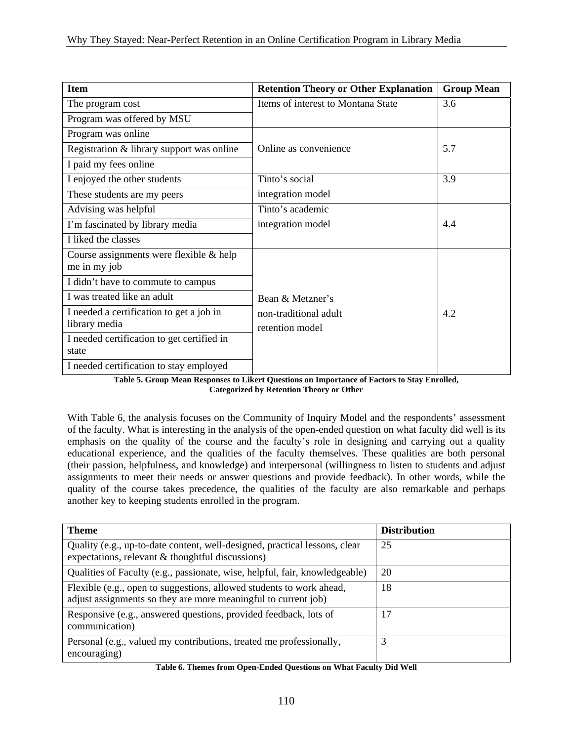| <b>Item</b>                                               | <b>Retention Theory or Other Explanation</b> | <b>Group Mean</b> |
|-----------------------------------------------------------|----------------------------------------------|-------------------|
| The program cost                                          | Items of interest to Montana State           | 3.6               |
| Program was offered by MSU                                |                                              |                   |
| Program was online                                        |                                              |                   |
| Registration & library support was online                 | Online as convenience                        | 5.7               |
| I paid my fees online                                     |                                              |                   |
| I enjoyed the other students                              | Tinto's social                               | 3.9               |
| These students are my peers                               | integration model                            |                   |
| Advising was helpful                                      | Tinto's academic                             |                   |
| I'm fascinated by library media                           | integration model                            | 4.4               |
| I liked the classes                                       |                                              |                   |
| Course assignments were flexible & help<br>me in my job   |                                              |                   |
| I didn't have to commute to campus                        |                                              |                   |
| I was treated like an adult                               | Bean & Metzner's                             |                   |
| I needed a certification to get a job in<br>library media | non-traditional adult<br>retention model     | 4.2               |
| I needed certification to get certified in<br>state       |                                              |                   |
| I needed certification to stay employed                   |                                              |                   |

**Table 5. Group Mean Responses to Likert Questions on Importance of Factors to Stay Enrolled, Categorized by Retention Theory or Other** 

With Table 6, the analysis focuses on the Community of Inquiry Model and the respondents' assessment of the faculty. What is interesting in the analysis of the open-ended question on what faculty did well is its emphasis on the quality of the course and the faculty's role in designing and carrying out a quality educational experience, and the qualities of the faculty themselves. These qualities are both personal (their passion, helpfulness, and knowledge) and interpersonal (willingness to listen to students and adjust assignments to meet their needs or answer questions and provide feedback). In other words, while the quality of the course takes precedence, the qualities of the faculty are also remarkable and perhaps another key to keeping students enrolled in the program.

| <b>Theme</b>                                                                                                                           | <b>Distribution</b> |
|----------------------------------------------------------------------------------------------------------------------------------------|---------------------|
| Quality (e.g., up-to-date content, well-designed, practical lessons, clear<br>expectations, relevant $\&$ thoughtful discussions)      | 25                  |
| Qualities of Faculty (e.g., passionate, wise, helpful, fair, knowledgeable)                                                            | 20                  |
| Flexible (e.g., open to suggestions, allowed students to work ahead,<br>adjust assignments so they are more meaningful to current job) | 18                  |
| Responsive (e.g., answered questions, provided feedback, lots of<br>communication)                                                     | 17                  |
| Personal (e.g., valued my contributions, treated me professionally,<br>encouraging)                                                    | 3                   |

**Table 6. Themes from Open-Ended Questions on What Faculty Did Well**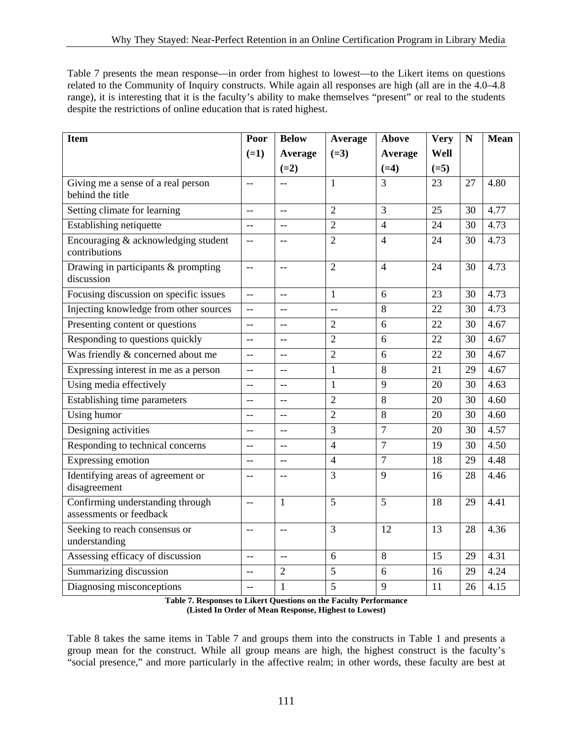Table 7 presents the mean response—in order from highest to lowest—to the Likert items on questions related to the Community of Inquiry constructs. While again all responses are high (all are in the 4.0–4.8 range), it is interesting that it is the faculty's ability to make themselves "present" or real to the students despite the restrictions of online education that is rated highest.

| <b>Item</b>                                                 | Poor                     | <b>Below</b>   | Average        | <b>Above</b>   | <b>Very</b>     | $\mathbf N$ | <b>Mean</b> |
|-------------------------------------------------------------|--------------------------|----------------|----------------|----------------|-----------------|-------------|-------------|
|                                                             | $(=1)$                   | Average        | $(=3)$         | Average        | Well            |             |             |
|                                                             |                          | $(=2)$         |                | $(=4)$         | $(=5)$          |             |             |
| Giving me a sense of a real person<br>behind the title      | $-$                      | $\overline{a}$ | $\mathbf{1}$   | $\overline{3}$ | 23              | 27          | 4.80        |
| Setting climate for learning                                | $\overline{\phantom{m}}$ | $-$            | $\overline{2}$ | $\overline{3}$ | 25              | 30          | 4.77        |
| Establishing netiquette                                     | $-$                      | $-$            | $\overline{2}$ | $\overline{4}$ | 24              | 30          | 4.73        |
| Encouraging & acknowledging student<br>contributions        | $\overline{\phantom{m}}$ | $-$            | $\overline{2}$ | $\overline{4}$ | 24              | 30          | 4.73        |
| Drawing in participants & prompting<br>discussion           | $-$                      | $\overline{a}$ | $\overline{2}$ | $\overline{4}$ | 24              | 30          | 4.73        |
| Focusing discussion on specific issues                      | $\overline{\phantom{a}}$ | $-$            | $\mathbf{1}$   | 6              | 23              | 30          | 4.73        |
| Injecting knowledge from other sources                      | $\overline{\phantom{m}}$ | $-$            | --             | 8              | 22              | 30          | 4.73        |
| Presenting content or questions                             | $\sim$ $\sim$            | $-$            | 2              | 6              | 22              | 30          | 4.67        |
| Responding to questions quickly                             | $\qquad \qquad -$        | $-$            | $\overline{2}$ | 6              | 22              | 30          | 4.67        |
| Was friendly & concerned about me                           | $-$                      |                | $\overline{2}$ | 6              | $\overline{22}$ | 30          | 4.67        |
| Expressing interest in me as a person                       | $\overline{\phantom{a}}$ | $\overline{a}$ | $\mathbf{1}$   | 8              | 21              | 29          | 4.67        |
| Using media effectively                                     | $-$                      | $-$            | $\mathbf{1}$   | 9              | 20              | 30          | 4.63        |
| Establishing time parameters                                | $-$                      | $-$            | $\overline{2}$ | 8              | 20              | 30          | 4.60        |
| Using humor                                                 | $-$                      | $-$            | $\overline{2}$ | 8              | 20              | 30          | 4.60        |
| Designing activities                                        | $-$                      | $-$            | 3              | $\overline{7}$ | 20              | 30          | 4.57        |
| Responding to technical concerns                            | $\overline{\phantom{m}}$ | $-$            | $\overline{4}$ | $\overline{7}$ | 19              | 30          | 4.50        |
| Expressing emotion                                          | $\sim$                   | $\sim$         | $\overline{4}$ | $\overline{7}$ | 18              | 29          | 4.48        |
| Identifying areas of agreement or<br>disagreement           | $-$                      | --             | 3              | 9              | 16              | 28          | 4.46        |
| Confirming understanding through<br>assessments or feedback | $-$                      | $\mathbf{1}$   | 5              | 5              | 18              | 29          | 4.41        |
| Seeking to reach consensus or<br>understanding              | $-$                      | $-$            | $\overline{3}$ | 12             | 13              | 28          | 4.36        |
| Assessing efficacy of discussion                            | $\overline{\phantom{m}}$ | $ -$           | 6              | 8              | 15              | 29          | 4.31        |
| Summarizing discussion                                      | $-$                      | $\overline{2}$ | 5              | 6              | 16              | 29          | 4.24        |
| Diagnosing misconceptions                                   | $-$                      | $\mathbf{1}$   | 5              | 9              | 11              | 26          | 4.15        |

**Table 7. Responses to Likert Questions on the Faculty Performance (Listed In Order of Mean Response, Highest to Lowest)** 

Table 8 takes the same items in Table 7 and groups them into the constructs in Table 1 and presents a group mean for the construct. While all group means are high, the highest construct is the faculty's "social presence," and more particularly in the affective realm; in other words, these faculty are best at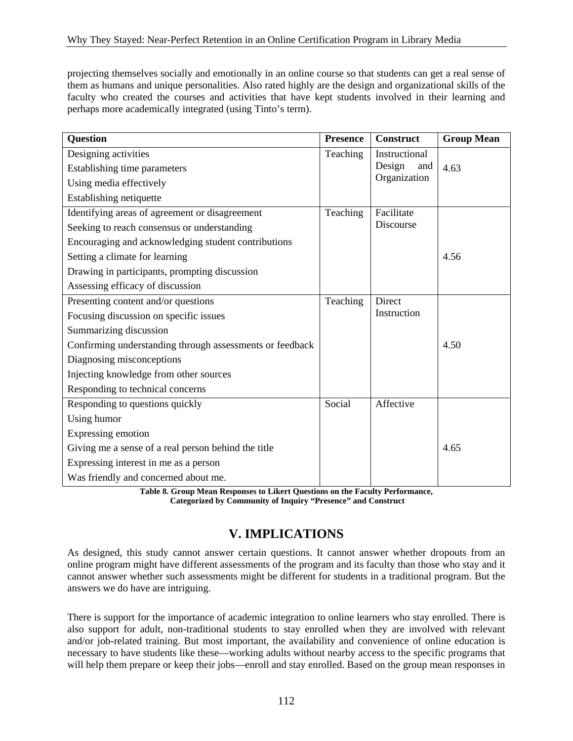projecting themselves socially and emotionally in an online course so that students can get a real sense of them as humans and unique personalities. Also rated highly are the design and organizational skills of the faculty who created the courses and activities that have kept students involved in their learning and perhaps more academically integrated (using Tinto's term).

| <b>Question</b>                                          | <b>Presence</b> | <b>Construct</b> | <b>Group Mean</b> |
|----------------------------------------------------------|-----------------|------------------|-------------------|
| Designing activities                                     | Teaching        | Instructional    |                   |
| Establishing time parameters                             |                 | Design<br>and    | 4.63              |
| Using media effectively                                  |                 | Organization     |                   |
| Establishing netiquette                                  |                 |                  |                   |
| Identifying areas of agreement or disagreement           | Teaching        | Facilitate       |                   |
| Seeking to reach consensus or understanding              |                 | Discourse        |                   |
| Encouraging and acknowledging student contributions      |                 |                  |                   |
| Setting a climate for learning                           |                 |                  | 4.56              |
| Drawing in participants, prompting discussion            |                 |                  |                   |
| Assessing efficacy of discussion                         |                 |                  |                   |
| Presenting content and/or questions                      | Teaching        | Direct           |                   |
| Focusing discussion on specific issues                   |                 | Instruction      |                   |
| Summarizing discussion                                   |                 |                  |                   |
| Confirming understanding through assessments or feedback |                 |                  | 4.50              |
| Diagnosing misconceptions                                |                 |                  |                   |
| Injecting knowledge from other sources                   |                 |                  |                   |
| Responding to technical concerns                         |                 |                  |                   |
| Responding to questions quickly                          | Social          | Affective        |                   |
| Using humor                                              |                 |                  |                   |
| Expressing emotion                                       |                 |                  |                   |
| Giving me a sense of a real person behind the title      |                 |                  | 4.65              |
| Expressing interest in me as a person                    |                 |                  |                   |
| Was friendly and concerned about me.                     |                 |                  |                   |

**Table 8. Group Mean Responses to Likert Questions on the Faculty Performance, Categorized by Community of Inquiry "Presence" and Construct** 

## **V. IMPLICATIONS**

As designed, this study cannot answer certain questions. It cannot answer whether dropouts from an online program might have different assessments of the program and its faculty than those who stay and it cannot answer whether such assessments might be different for students in a traditional program. But the answers we do have are intriguing.

There is support for the importance of academic integration to online learners who stay enrolled. There is also support for adult, non-traditional students to stay enrolled when they are involved with relevant and/or job-related training. But most important, the availability and convenience of online education is necessary to have students like these—working adults without nearby access to the specific programs that will help them prepare or keep their jobs—enroll and stay enrolled. Based on the group mean responses in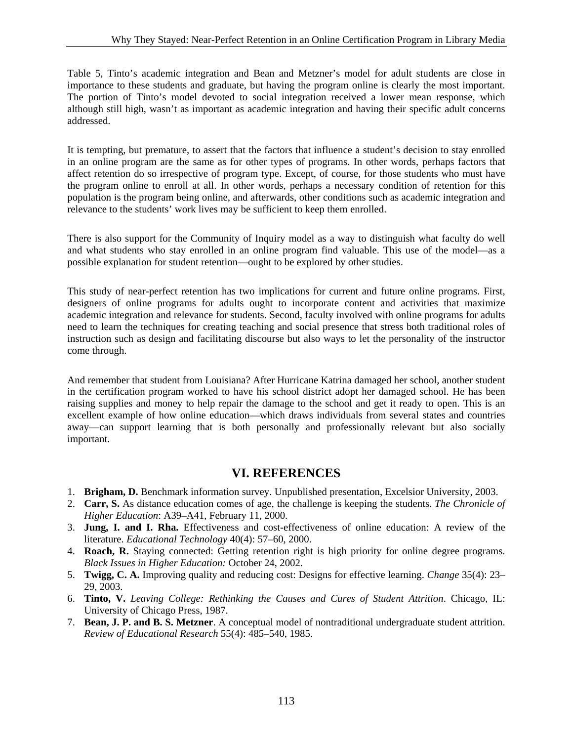Table 5, Tinto's academic integration and Bean and Metzner's model for adult students are close in importance to these students and graduate, but having the program online is clearly the most important. The portion of Tinto's model devoted to social integration received a lower mean response, which although still high, wasn't as important as academic integration and having their specific adult concerns addressed.

It is tempting, but premature, to assert that the factors that influence a student's decision to stay enrolled in an online program are the same as for other types of programs. In other words, perhaps factors that affect retention do so irrespective of program type. Except, of course, for those students who must have the program online to enroll at all. In other words, perhaps a necessary condition of retention for this population is the program being online, and afterwards, other conditions such as academic integration and relevance to the students' work lives may be sufficient to keep them enrolled.

There is also support for the Community of Inquiry model as a way to distinguish what faculty do well and what students who stay enrolled in an online program find valuable. This use of the model—as a possible explanation for student retention—ought to be explored by other studies.

This study of near-perfect retention has two implications for current and future online programs. First, designers of online programs for adults ought to incorporate content and activities that maximize academic integration and relevance for students. Second, faculty involved with online programs for adults need to learn the techniques for creating teaching and social presence that stress both traditional roles of instruction such as design and facilitating discourse but also ways to let the personality of the instructor come through.

And remember that student from Louisiana? After Hurricane Katrina damaged her school, another student in the certification program worked to have his school district adopt her damaged school. He has been raising supplies and money to help repair the damage to the school and get it ready to open. This is an excellent example of how online education—which draws individuals from several states and countries away—can support learning that is both personally and professionally relevant but also socially important.

#### **VI. REFERENCES**

- 1. **Brigham, D.** Benchmark information survey. Unpublished presentation, Excelsior University, 2003.
- 2. **Carr, S.** As distance education comes of age, the challenge is keeping the students. *The Chronicle of Higher Education*: A39–A41, February 11, 2000.
- 3. **Jung, I. and I. Rha.** Effectiveness and cost-effectiveness of online education: A review of the literature. *Educational Technology* 40(4): 57–60, 2000.
- 4. **Roach, R.** Staying connected: Getting retention right is high priority for online degree programs. *Black Issues in Higher Education:* October 24, 2002.
- 5. **Twigg, C. A.** Improving quality and reducing cost: Designs for effective learning. *Change* 35(4): 23– 29, 2003.
- 6. **Tinto, V.** *Leaving College: Rethinking the Causes and Cures of Student Attrition*. Chicago, IL: University of Chicago Press, 1987.
- 7. **Bean, J. P. and B. S. Metzner**. A conceptual model of nontraditional undergraduate student attrition. *Review of Educational Research* 55(4): 485–540, 1985.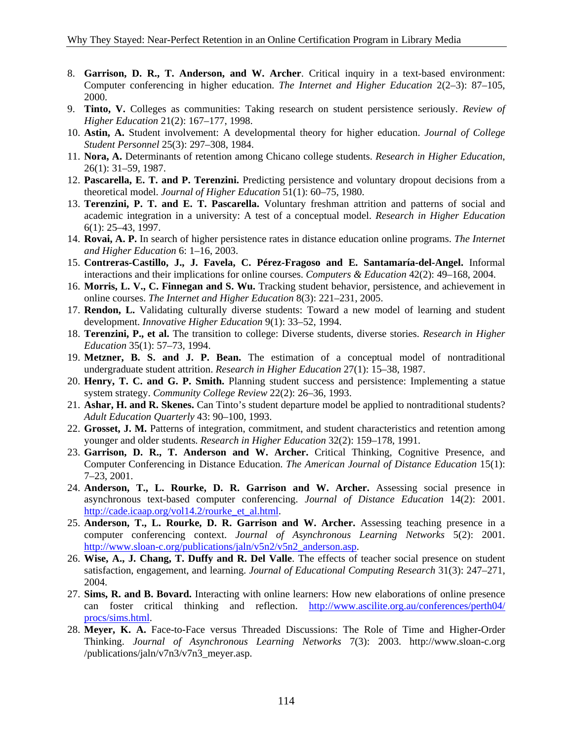- 8. **Garrison, D. R., T. Anderson, and W. Archer**. Critical inquiry in a text-based environment: Computer conferencing in higher education. *The Internet and Higher Education* 2(2–3): 87–105, 2000.
- 9. **Tinto, V.** Colleges as communities: Taking research on student persistence seriously. *Review of Higher Education* 21(2): 167–177, 1998.
- 10. **Astin, A.** Student involvement: A developmental theory for higher education. *Journal of College Student Personnel* 25(3): 297–308, 1984.
- 11. **Nora, A.** Determinants of retention among Chicano college students. *Research in Higher Education*, 26(1): 31–59, 1987.
- 12. **Pascarella, E. T. and P. Terenzini.** Predicting persistence and voluntary dropout decisions from a theoretical model. *Journal of Higher Education* 51(1): 60–75, 1980.
- 13. **Terenzini, P. T. and E. T. Pascarella.** Voluntary freshman attrition and patterns of social and academic integration in a university: A test of a conceptual model. *Research in Higher Education* 6(1): 25–43, 1997.
- 14. **Rovai, A. P.** In search of higher persistence rates in distance education online programs. *The Internet and Higher Education* 6: 1–16, 2003.
- 15. **Contreras-Castillo, J., J. Favela, C. Pérez-Fragoso and E. Santamaría-del-Angel.** Informal interactions and their implications for online courses. *Computers & Education* 42(2): 49–168, 2004.
- 16. **Morris, L. V., C. Finnegan and S. Wu.** Tracking student behavior, persistence, and achievement in online courses. *The Internet and Higher Education* 8(3): 221–231, 2005.
- 17. **Rendon, L.** Validating culturally diverse students: Toward a new model of learning and student development. *Innovative Higher Education* 9(1): 33–52, 1994.
- 18. **Terenzini, P., et al.** The transition to college: Diverse students, diverse stories. *Research in Higher Education* 35(1): 57–73, 1994.
- 19. **Metzner, B. S. and J. P. Bean.** The estimation of a conceptual model of nontraditional undergraduate student attrition. *Research in Higher Education* 27(1): 15–38, 1987.
- 20. **Henry, T. C. and G. P. Smith.** Planning student success and persistence: Implementing a statue system strategy. *Community College Review* 22(2): 26–36, 1993.
- 21. **Ashar, H. and R. Skenes.** Can Tinto's student departure model be applied to nontraditional students? *Adult Education Quarterly* 43: 90–100, 1993.
- 22. **Grosset, J. M.** Patterns of integration, commitment, and student characteristics and retention among younger and older students. *Research in Higher Education* 32(2): 159–178, 1991.
- 23. **Garrison, D. R., T. Anderson and W. Archer.** Critical Thinking, Cognitive Presence, and Computer Conferencing in Distance Education. *The American Journal of Distance Education* 15(1): 7–23, 2001.
- 24. **Anderson, T., L. Rourke, D. R. Garrison and W. Archer.** Assessing social presence in asynchronous text-based computer conferencing. *Journal of Distance Education* 14(2): 2001. [http://cade.icaap.org/vol14.2/rourke\\_et\\_al.html.](http://cade.icaap.org/vol14.2/rourke_et_al.html)
- 25. **Anderson, T., L. Rourke, D. R. Garrison and W. Archer.** Assessing teaching presence in a computer conferencing context. *Journal of Asynchronous Learning Networks* 5(2): 2001. http://www.sloan-c.org/publications/jaln/v5n2/v5n2\_anderson.asp.
- 26. **Wise, A., J. Chang, T. Duffy and R. Del Valle**. The effects of teacher social presence on student satisfaction, engagement, and learning. *Journal of Educational Computing Research* 31(3): 247–271, 2004.
- 27. **Sims, R. and B. Bovard.** Interacting with online learners: How new elaborations of online presence can foster critical thinking and reflection. [http://www.ascilite.org.au/conferences/perth04/](http://www.ascilite.org.au/conferences/perth04) procs/sims.html.
- 28. **Meyer, K. A.** Face-to-Face versus Threaded Discussions: The Role of Time and Higher-Order Thinking. *Journal of Asynchronous Learning Networks* 7(3): 2003. <http://www.sloan-c.org> /publications/jaln/v7n3/v7n3\_meyer.asp.